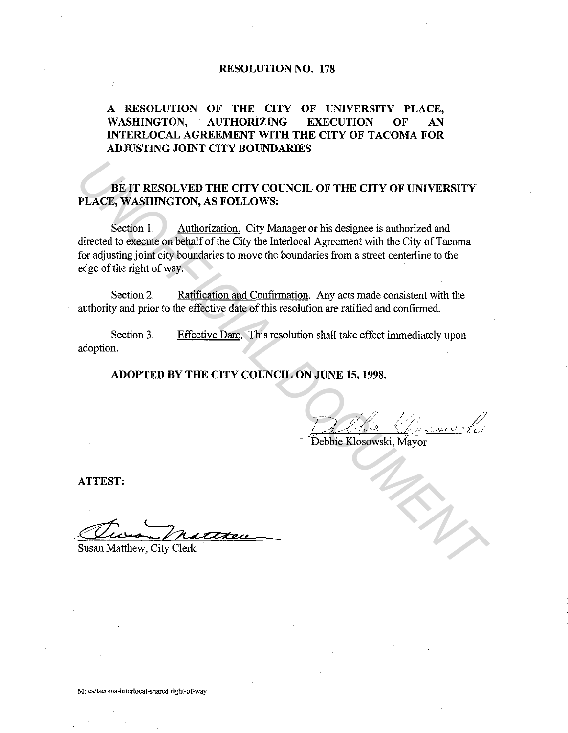#### RESOLUTION NO. 178

## A RESOLUTION OF THE CITY OF UNIVERSITY PLACE, WASHINGTON, AUTHORIZING EXECUTION OF AN INTERLOCAL AGREEMENT WITH THE CITY OF TACOMA FOR ADJUSTING JOINT CITY BOUNDARIES

## BE IT RESOLVED THE CITY COUNCIL OF THE CITY OF UNIVERSITY PLACE, WASHINGTON, AS FOLLOWS:

Section 1. Authorization. City Manager or his designee is authorized and directed to execute on behalf of the City the Interlocal Agreement with the City of Tacoma for adjusting joint city boundaries to move the boundaries from a street centerline to the edge of the right of way. **PLACE, WASHINGTON, AS FOLLOWS:**<br> **PLACE, WASHINGTON, AS FOLLOWS:**<br>
Section 1. Authorization, City Manager or his designee is authorized and<br>
directed to execute on behalf of the City the Interlocal Agreement with the City

Section 2. Ratification and Confirmation. Any acts made consistent with the authority and prior to the effective date of this resolution are ratified and confirmed.

Section 3. adoption. Effective Date. This resolution shall take effect immediately upon

ADOPTED BY THE CITY COUNCIL ON JUNE 15, 1998.

Dellie Chassioli

Debbie Klosowski, Mayor

ATTEST:

Susan Matthew, City Clerk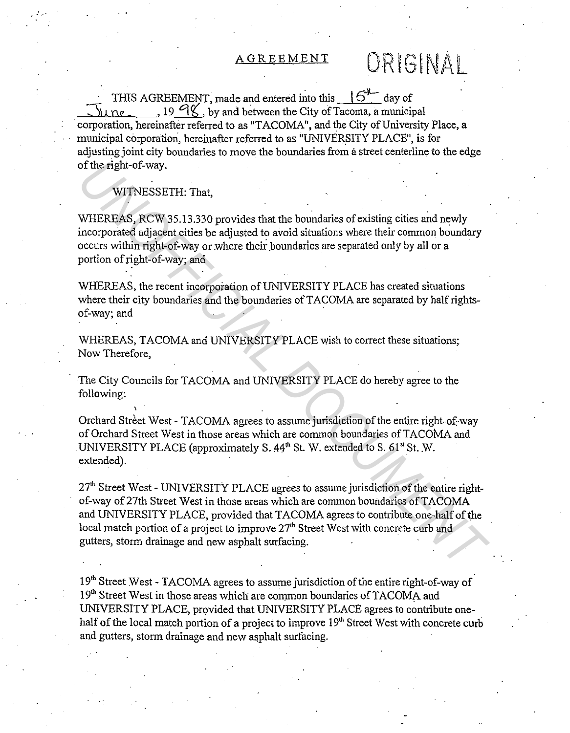### AGREEMENT

# ORIGINAL

THIS AGREEMENT, made and entered into this  $15^{\frac{1}{2}}$  day of  $\sqrt{2}$ , 19  $-$  , 19  $\%$ , by and between the City of Tacoma, a municipal corporation, hereinafter referred to as "TACOMA", and the City of University Place, a municipal corporation, hereinafter referred to as "UNIVERSITY PLACE", is for adjusting joint city boundaries to move the boundaries from a street centerline to the edge of the right-of-way.

WITNESSETH: That,

WHEREAS, RCW 35.13.330 provides that the boundaries of existing cities and newly incorporated adjacent cities be adjusted to avoid situations where their common boundary occurs within right-of-way or where their boundaries are separated only by all or a portion of right-of-way; and

WHEREAS, the recent incorporation of UNIVERSITY PLACE has created situations where their city boundaries and the boundaries of TACOMA are separated by half rightsof-way; and

\VHEREAS, TACOMA and UNIVERSITY PLACE wish to correct these situations; Now Therefore,

The City Councils for TACOMA and UNIVERSITY PLACE do hereby agree to the following:

י<br>' Orchard Strèet West - TACOMA agrees to assume jurisdiction of the entire right-of-way of Orchard Street West in those areas which are common boundaries of TACOMA and UNIVERSITY PLACE (approximately S.  $44<sup>th</sup>$  St. W. extended to S.  $61<sup>st</sup>$  St. W. extended).

27<sup>th</sup> Street West - UNIVERSITY PLACE agrees to assume jurisdiction of the entire rightof-way of 27th Street West in those areas which are common boundaries of TACOMA and UNIVERSITY PLACE, provided that TACOMA agrees to contribute one-half of the local match portion of a project to improve 27<sup>th</sup> Street West with concrete curb and gutters, storm drainage and new asphalt surfacing. of the right-of-way.<br>
WHEREAS, RCW 35.13.330 provides that the boundaries of existing cities and newly<br>
incorporated adjacent cities be adjusted to avoid situations where their common boundary<br>
protion of right-of-way, and

19<sup>th</sup> Street West - TACOMA agrees to assume jurisdiction of the entire right-of-way of 19<sup>th</sup> Street West in those areas which are common boundaries of TACOMA and UNIVERSITY PLACE, provided that UNIVERSITY PLACE agrees to contribute onehalf of the local match portion of a project to improve 19<sup>th</sup> Street West with concrete curb and gutters, storm drainage and new asphalt surfacing.